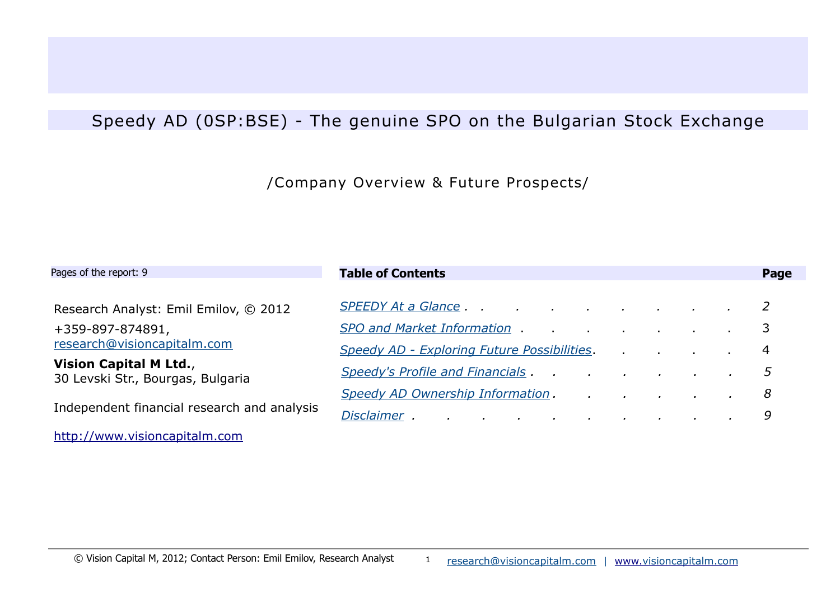## Speedy AD (0SP:BSE) - The genuine SPO on the Bulgarian Stock Exchange

## /Company Overview & Future Prospects/

| Pages of the report: 9                                             | <b>Table of Contents</b>                                                                                                                                                                                                            |  |  | Page |
|--------------------------------------------------------------------|-------------------------------------------------------------------------------------------------------------------------------------------------------------------------------------------------------------------------------------|--|--|------|
| Research Analyst: Emil Emilov, © 2012                              |                                                                                                                                                                                                                                     |  |  |      |
| +359-897-874891,                                                   | <b>SPO and Market Information</b> and the state of the state of the state of the state of the state of the state of the state of the state of the state of the state of the state of the state of the state of the state of the sta |  |  | 3    |
| research@visioncapitalm.com                                        | <b>Speedy AD - Exploring Future Possibilities.</b>                                                                                                                                                                                  |  |  | 4    |
| <b>Vision Capital M Ltd.,</b><br>30 Levski Str., Bourgas, Bulgaria |                                                                                                                                                                                                                                     |  |  | 5    |
|                                                                    | Speedy AD Ownership Information. And Allen Annual Annual Annual Annual Annual Annual Annual Annual Annual Annu                                                                                                                      |  |  | 8    |
| Independent financial research and analysis                        |                                                                                                                                                                                                                                     |  |  | 9    |
| http://www.visioncapitalm.com                                      |                                                                                                                                                                                                                                     |  |  |      |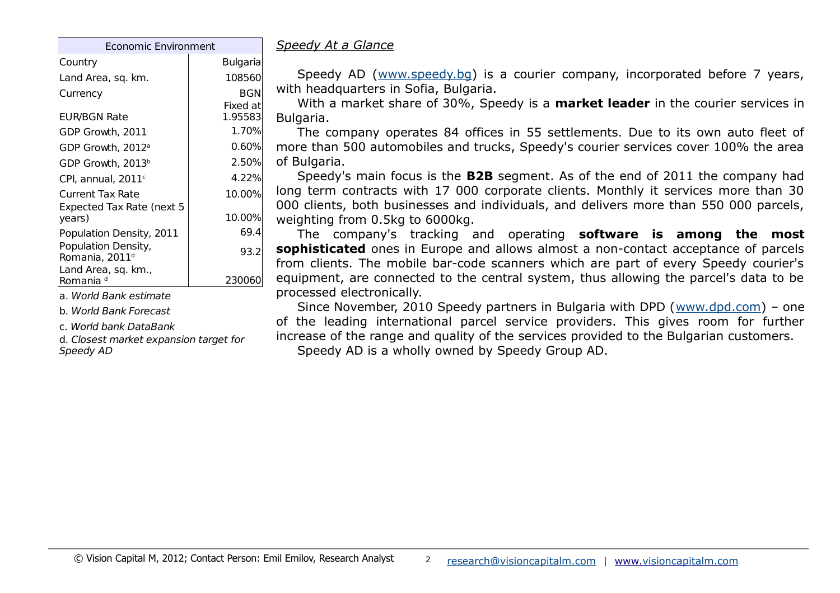| Economic Environment                              |                     |  |  |  |  |  |
|---------------------------------------------------|---------------------|--|--|--|--|--|
| Country                                           | <b>Bulgaria</b>     |  |  |  |  |  |
| Land Area, sq. km.                                | 108560              |  |  |  |  |  |
| Currency                                          | BGN                 |  |  |  |  |  |
| EUR/BGN Rate                                      | Fixed at<br>1.95583 |  |  |  |  |  |
| GDP Growth, 2011                                  | 1.70%               |  |  |  |  |  |
| GDP Growth, 2012 <sup>a</sup>                     | 0.60%               |  |  |  |  |  |
| GDP Growth, 2013 <sup>b</sup>                     | 2.50%               |  |  |  |  |  |
| CPI. annual. 2011 $^{\circ}$                      | 4.22%               |  |  |  |  |  |
| Current Tax Rate                                  | 10.00%              |  |  |  |  |  |
| Expected Tax Rate (next 5<br>years)               | 10.00%              |  |  |  |  |  |
| Population Density, 2011                          | 69.4                |  |  |  |  |  |
| Population Density,<br>Romania, 2011 <sup>d</sup> | 93.2                |  |  |  |  |  |
| Land Area, sq. km.,<br>Romania d                  | 230                 |  |  |  |  |  |

a. World Bank estimate

b. World Bank Forecast

c. World bank DataBank

d. Closest market expansion target for Speedy AD

<span id="page-1-0"></span>*Speedy At a Glance*

Speedy AD [\(www.speedy.bg\)](http://www.speedy.bg/) is a courier company, incorporated before 7 years, with headquarters in Sofia, Bulgaria.

With a market share of 30%, Speedy is a **market leader** in the courier services in Bulgaria.

The company operates 84 offices in 55 settlements. Due to its own auto fleet of more than 500 automobiles and trucks, Speedy's courier services cover 100% the area of Bulgaria.

Speedy's main focus is the **B2B** segment. As of the end of 2011 the company had long term contracts with 17 000 corporate clients. Monthly it services more than 30 000 clients, both businesses and individuals, and delivers more than 550 000 parcels, weighting from 0.5kg to 6000kg.

The company's tracking and operating **software is among the most sophisticated** ones in Europe and allows almost a non-contact acceptance of parcels from clients. The mobile bar-code scanners which are part of every Speedy courier's equipment, are connected to the central system, thus allowing the parcel's data to be processed electronically.

Since November, 2010 Speedy partners in Bulgaria with DPD ([www.dpd.com\)](http://www.dpd.com/) – one of the leading international parcel service providers. This gives room for further increase of the range and quality of the services provided to the Bulgarian customers.

Speedy AD is a wholly owned by Speedy Group AD.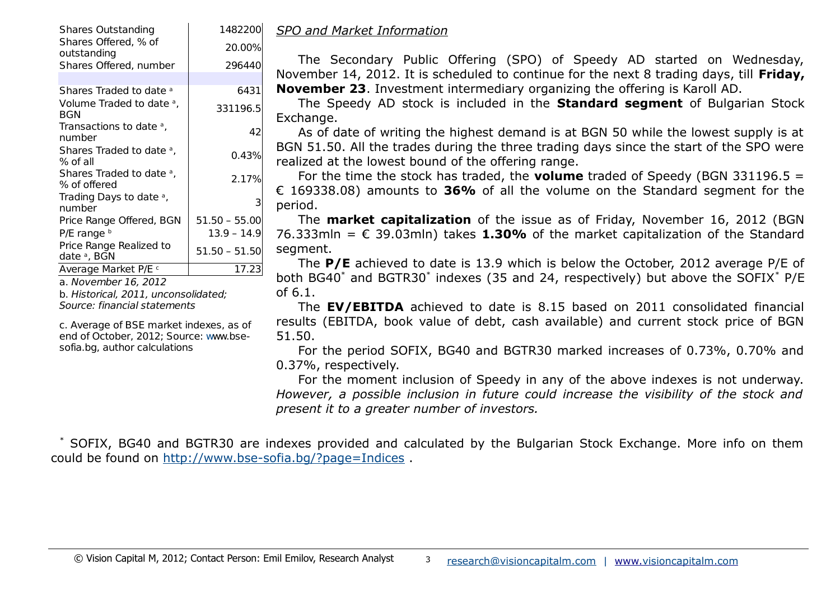| <b>Shares Outstanding</b>                            | 1482200         |  |
|------------------------------------------------------|-----------------|--|
| Shares Offered, % of<br>outstanding                  | 20.00%          |  |
| Shares Offered, number                               | 296440          |  |
|                                                      |                 |  |
| Shares Traded to date a                              | 6431            |  |
| Volume Traded to date <sup>a</sup> ,<br>BGN          | 331196.5        |  |
| Transactions to date <sup>a</sup> ,<br>number        | 42              |  |
| Shares Traded to date <sup>a</sup> ,<br>% of all     | 0.43%           |  |
| Shares Traded to date <sup>a</sup> ,<br>% of offered | 2.17%           |  |
| Trading Days to date a,<br>number                    | З               |  |
| Price Range Offered, BGN                             | $51.50 - 55.00$ |  |
| $P/E$ range $b$                                      | $13.9 - 14.9$   |  |
| Price Range Realized to<br>date <sup>a</sup> , BGN   | 51.50 - 51.50   |  |
| Average Market P/E c                                 | 17.23           |  |

a. November 16, 2012

b. Historical, 2011, unconsolidated; Source: financial statements

c. Average of BSE market indexes, as of end of October, 2012; Source: www.bsesofia.bg, author calculations

<span id="page-2-0"></span>*SPO and Market Information*

The Secondary Public Offering (SPO) of Speedy AD started on Wednesday, November 14, 2012. It is scheduled to continue for the next 8 trading days, till **Friday, November 23**. Investment intermediary organizing the offering is Karoll AD.

The Speedy AD stock is included in the **Standard segment** of Bulgarian Stock Exchange.

As of date of writing the highest demand is at BGN 50 while the lowest supply is at BGN 51.50. All the trades during the three trading days since the start of the SPO were realized at the lowest bound of the offering range.

For the time the stock has traded, the **volume** traded of Speedy (BGN 331196.5 = € 169338.08) amounts to **36%** of all the volume on the Standard segment for the period.

The **market capitalization** of the issue as of Friday, November 16, 2012 (BGN 76.333mln = € 39.03mln) takes **1.30%** of the market capitalization of the Standard segment.

The **P/E** achieved to date is 13.9 which is below the October, 2012 average P/E of both BG40<sup>\*</sup> and BGTR30<sup>\*</sup> indexes (35 and 24, respectively) but above the SOFIX<sup>\*</sup> P/E of 6.1.

The **EV/EBITDA** achieved to date is 8.15 based on 2011 consolidated financial results (EBITDA, book value of debt, cash available) and current stock price of BGN 51.50.

For the period SOFIX, BG40 and BGTR30 marked increases of 0.73%, 0.70% and 0.37%, respectively.

For the moment inclusion of Speedy in any of the above indexes is not underway. *However, a possible inclusion in future could increase the visibility of the stock and present it to a greater number of investors.*

\* SOFIX, BG40 and BGTR30 are indexes provided and calculated by the Bulgarian Stock Exchange. More info on them could be found on<http://www.bse-sofia.bg/?page=Indices>.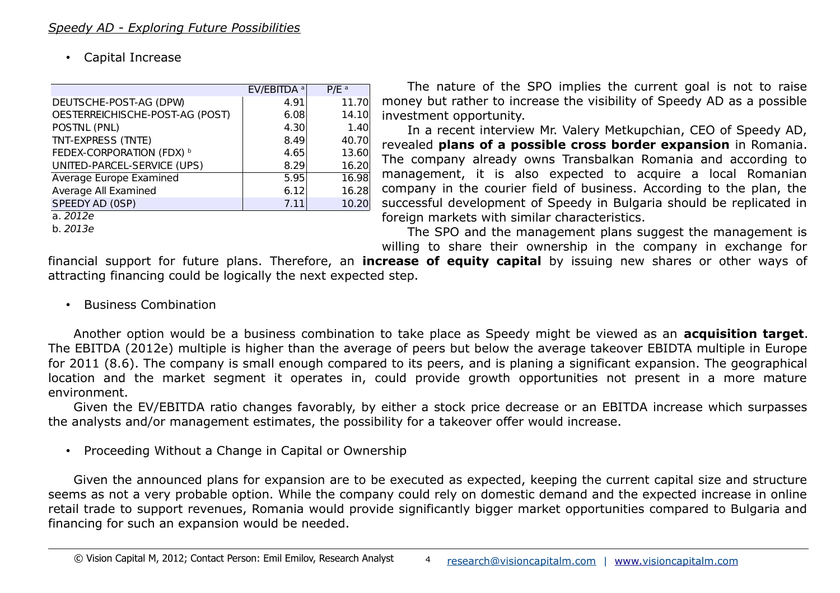<span id="page-3-0"></span>• Capital Increase

|                                  | EV/EBITDA <sup>a</sup> | $P/E^a$ |
|----------------------------------|------------------------|---------|
| DEUTSCHE-POST-AG (DPW)           | 4.91                   | 11.70   |
| OESTERREICHISCHE-POST-AG (POST)  | 6.08                   | 14.10   |
| POSTNL (PNL)                     | 4.30                   | 1.40    |
| TNT-EXPRESS (TNTE)               | 8.49                   | 40.70   |
| <b>FEDEX-CORPORATION (FDX)</b> b | 4.65                   | 13.60   |
| UNITED-PARCEL-SERVICE (UPS)      | 8.29                   | 16.20   |
| Average Europe Examined          | 5.95                   | 16.98   |
| Average All Examined             | 6.12                   | 16.28   |
| SPEEDY AD (OSP)                  | 7.11                   | 10.20   |
| a. 2012e                         |                        |         |
| h. 2013e                         |                        |         |

The nature of the SPO implies the current goal is not to raise money but rather to increase the visibility of Speedy AD as a possible investment opportunity.

In a recent interview Mr. Valery Metkupchian, CEO of Speedy AD, revealed **plans of a possible cross border expansion** in Romania. The company already owns Transbalkan Romania and according to management, it is also expected to acquire a local Romanian company in the courier field of business. According to the plan, the successful development of Speedy in Bulgaria should be replicated in foreign markets with similar characteristics.

The SPO and the management plans suggest the management is willing to share their ownership in the company in exchange for

financial support for future plans. Therefore, an **increase of equity capital** by issuing new shares or other ways of attracting financing could be logically the next expected step.

• Business Combination

Another option would be a business combination to take place as Speedy might be viewed as an **acquisition target**. The EBITDA (2012e) multiple is higher than the average of peers but below the average takeover EBIDTA multiple in Europe for 2011 (8.6). The company is small enough compared to its peers, and is planing a significant expansion. The geographical location and the market segment it operates in, could provide growth opportunities not present in a more mature environment.

Given the EV/EBITDA ratio changes favorably, by either a stock price decrease or an EBITDA increase which surpasses the analysts and/or management estimates, the possibility for a takeover offer would increase.

• Proceeding Without a Change in Capital or Ownership

Given the announced plans for expansion are to be executed as expected, keeping the current capital size and structure seems as not a very probable option. While the company could rely on domestic demand and the expected increase in online retail trade to support revenues, Romania would provide significantly bigger market opportunities compared to Bulgaria and financing for such an expansion would be needed.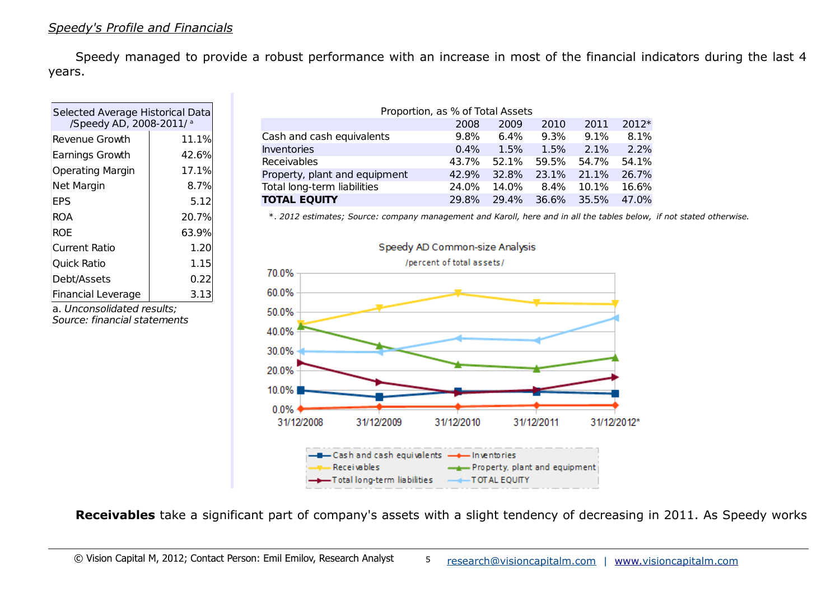<span id="page-4-0"></span>Speedy managed to provide a robust performance with an increase in most of the financial indicators during the last 4 years.

| Selected Average Historical Data<br>/Speedy AD, 2008-2011/a |  |  |  |  |  |
|-------------------------------------------------------------|--|--|--|--|--|
| 11.1%                                                       |  |  |  |  |  |
| 42.6%                                                       |  |  |  |  |  |
| 17.1%                                                       |  |  |  |  |  |
| 8.7%                                                        |  |  |  |  |  |
| 5.12                                                        |  |  |  |  |  |
| 20.7%                                                       |  |  |  |  |  |
| 63.9%                                                       |  |  |  |  |  |
| 1.20                                                        |  |  |  |  |  |
| 1.15                                                        |  |  |  |  |  |
| 0.22                                                        |  |  |  |  |  |
| 3.13                                                        |  |  |  |  |  |
|                                                             |  |  |  |  |  |

a. Unconsolidated results; Source: financial statements

| Proportion, as % of Total Assets |       |       |       |       |       |  |  |  |
|----------------------------------|-------|-------|-------|-------|-------|--|--|--|
|                                  | 2008  | 2009  | 2010  | 2011  | 2012* |  |  |  |
| Cash and cash equivalents        | 9.8%  | 6.4%  | 9.3%  | 9.1%  | 8.1%  |  |  |  |
| <b>Inventories</b>               | 0.4%  | 1.5%  | 1.5%  | 2.1%  | 2.2%  |  |  |  |
| Receivables                      | 43.7% | 52.1% | 59.5% | 54.7% | 54.1% |  |  |  |
| Property, plant and equipment    | 42.9% | 32.8% | 23.1% | 21.1% | 26.7% |  |  |  |
| Total long-term liabilities      | 24.0% | 14.0% | 8.4%  | 10.1% | 16.6% |  |  |  |
| <b>TOTAL EQUITY</b>              | 29.8% | 29.4% | 36.6% | 35.5% | 47.0% |  |  |  |

\*. *2012 estimates; Source: company management and Karoll, here and in all the tables below, if not stated otherwise.*



**Receivables** take a significant part of company's assets with a slight tendency of decreasing in 2011. As Speedy works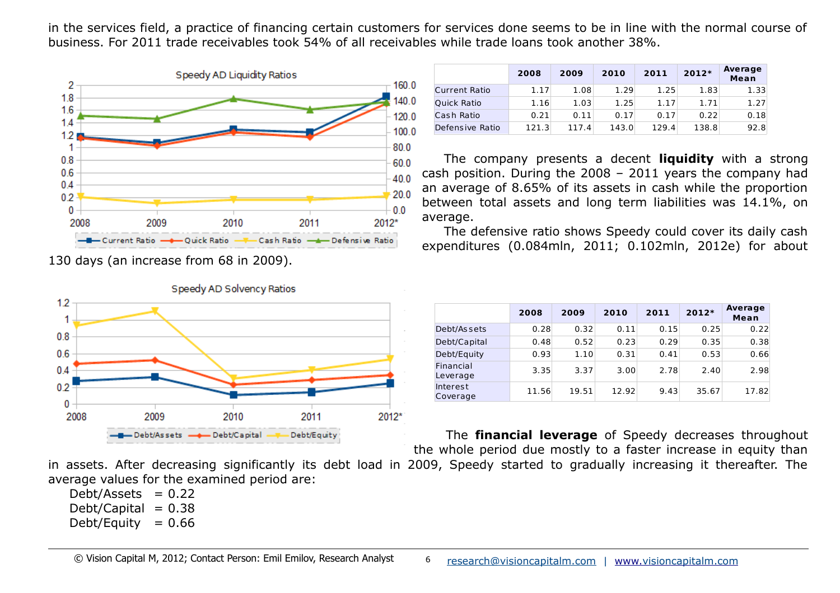in the services field, a practice of financing certain customers for services done seems to be in line with the normal course of business. For 2011 trade receivables took 54% of all receivables while trade loans took another 38%.



130 days (an increase from 68 in 2009).



|                      | 2008  | 2009  | 2010  | 2011  | $2012*$ | Average<br>Mean |
|----------------------|-------|-------|-------|-------|---------|-----------------|
| <b>Current Ratio</b> | 1.17  | 1.08  | 1.29  | 1.25  | 1.83    | 1.33            |
| <b>Quick Ratio</b>   | 1.16  | 1.03  | 1.25  | 1.17  | 1.71    | 1.27            |
| Cash Ratio           | 0.21  | 0.11  | 0.17  | 0.17  | 0.22    | 0.18            |
| Defensive Ratio      | 121.3 | 117.4 | 143.0 | 129.4 | 138.8   | 92.8            |

The company presents a decent **liquidity** with a strong cash position. During the 2008 – 2011 years the company had an average of 8.65% of its assets in cash while the proportion between total assets and long term liabilities was 14.1%, on average.

The defensive ratio shows Speedy could cover its daily cash expenditures (0.084mln, 2011; 0.102mln, 2012e) for about

|                       | 2008  | 2009  | 2010  | 2011 | 2012* | Average<br>Mean |
|-----------------------|-------|-------|-------|------|-------|-----------------|
| Debt/As sets          | 0.28  | 0.32  | 0.11  | 0.15 | 0.25  | 0.22            |
| Debt/Capital          | 0.48  | 0.52  | 0.23  | 0.29 | 0.35  | 0.38            |
| Debt/Equity           | 0.93  | 1.10  | 0.31  | 0.41 | 0.53  | 0.66            |
| Financial<br>Leverage | 3.35  | 3.37  | 3.00  | 2.78 | 2.40  | 2.98            |
| Interest<br>Coverage  | 11.56 | 19.51 | 12.92 | 9.43 | 35.67 | 17.82           |

The **financial leverage** of Speedy decreases throughout the whole period due mostly to a faster increase in equity than

in assets. After decreasing significantly its debt load in 2009, Speedy started to gradually increasing it thereafter. The average values for the examined period are:

Debt/Assets  $= 0.22$ Debt/Capital  $= 0.38$ Debt/Equity  $= 0.66$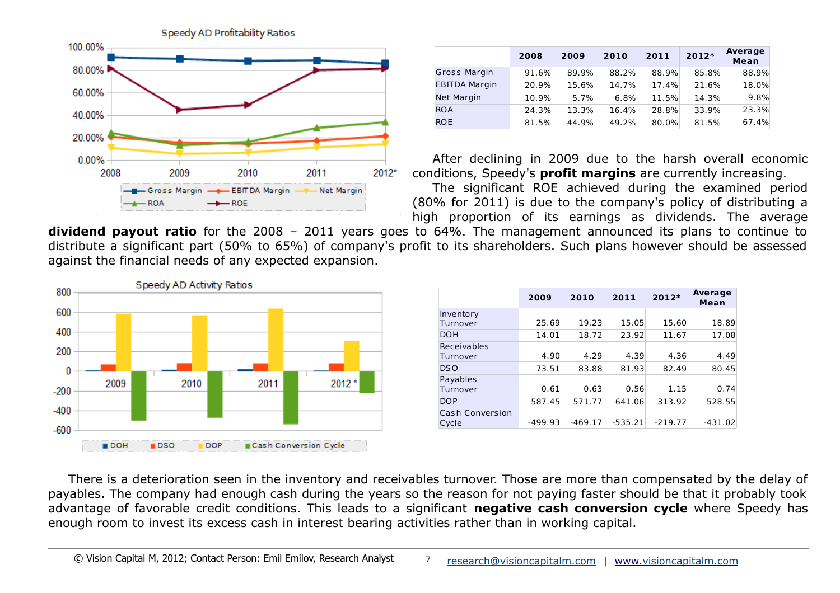

|                      | 2008  | 2009  | 2010  | 2011  | 2012* | <b>Average</b><br>Mean |
|----------------------|-------|-------|-------|-------|-------|------------------------|
| <b>Gross Margin</b>  | 91.6% | 89.9% | 88.2% | 88.9% | 85.8% | 88.9%                  |
| <b>EBITDA Margin</b> | 20.9% | 15.6% | 14.7% | 17.4% | 21.6% | 18.0%                  |
| Net Margin           | 10.9% | 5.7%  | 6.8%  | 11.5% | 14.3% | 9.8%                   |
| <b>ROA</b>           | 24.3% | 13.3% | 16.4% | 28.8% | 33.9% | 23.3%                  |
| <b>ROE</b>           | 81.5% | 44.9% | 49.2% | 80.0% | 81.5% | 67.4%                  |

After declining in 2009 due to the harsh overall economic conditions, Speedy's **profit margins** are currently increasing.

The significant ROE achieved during the examined period (80% for 2011) is due to the company's policy of distributing a high proportion of its earnings as dividends. The average

**dividend payout ratio** for the 2008 – 2011 years goes to 64%. The management announced its plans to continue to distribute a significant part (50% to 65%) of company's profit to its shareholders. Such plans however should be assessed against the financial needs of any expected expansion.



|                                 | 2009      | 2010      | 2011      | 2012*     | Average<br>Mean |
|---------------------------------|-----------|-----------|-----------|-----------|-----------------|
| Inventory<br>Turnover           | 25.69     | 19.23     | 15.05     | 15.60     | 18.89           |
| <b>DOH</b>                      | 14.01     | 18.72     | 23.92     | 11.67     | 17.08           |
| Receivables<br>Turnover         | 4.90      | 4.29      | 4.39      | 4.36      | 4.49            |
| D <sub>S</sub> O                | 73.51     | 83.88     | 81.93     | 82.49     | 80.45           |
| Payables<br>Turnover            | 0.61      | 0.63      | 0.56      | 1.15      | 0.74            |
| <b>DOP</b>                      | 587.45    | 571.77    | 641.06    | 313.92    | 528.55          |
| <b>Cash Conversion</b><br>Cycle | $-499.93$ | $-469.17$ | $-535.21$ | $-219.77$ | $-431.02$       |

There is a deterioration seen in the inventory and receivables turnover. Those are more than compensated by the delay of payables. The company had enough cash during the years so the reason for not paying faster should be that it probably took advantage of favorable credit conditions. This leads to a significant **negative cash conversion cycle** where Speedy has enough room to invest its excess cash in interest bearing activities rather than in working capital.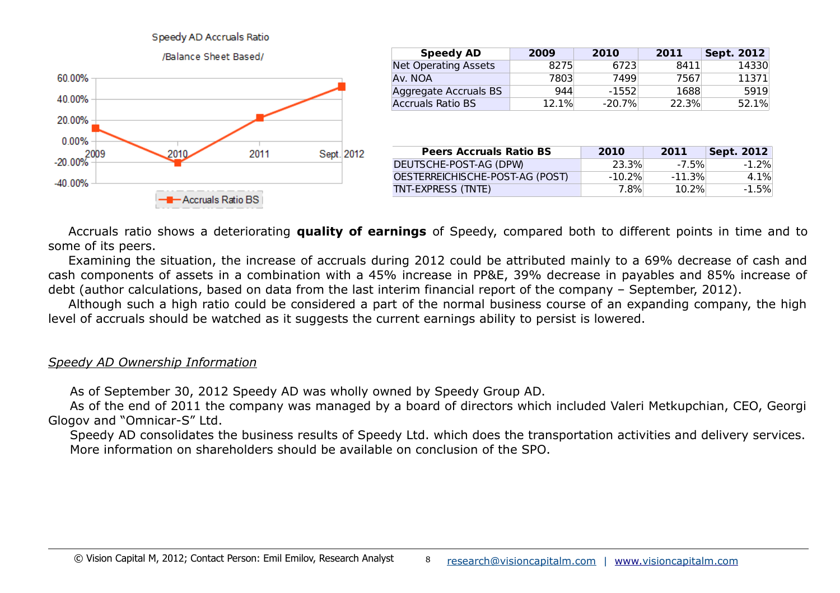## Speedy AD Accruals Ratio



| <b>Speedy AD</b>            | 2009  | 2010     | 2011  | Sept. 2012 |
|-----------------------------|-------|----------|-------|------------|
| <b>Net Operating Assets</b> | 8275  | 6723     | 8411  | 14330      |
| Av. NOA                     | 7803  | 7499     | 7567  | 11371      |
| Aggregate Accruals BS       | 944   | $-1552$  | 1688  | 5919       |
| <b>Accruals Ratio BS</b>    | 12.1% | $-20.7%$ | 22.3% | 52.1%      |

| <b>Peers Accruals Ratio BS</b>  | 2010      | 2011      | <b>Sept. 2012</b> |
|---------------------------------|-----------|-----------|-------------------|
| DEUTSCHE-POST-AG (DPW)          | 23.3%     | $-7.5%$   | $-1.2\%$          |
| OESTERREICHISCHE-POST-AG (POST) | $-10.2\%$ | $-11.3\%$ | 4.1%              |
| TNT-EXPRESS (TNTE)              | 7.8%⊧     | $10.2\%$  | $-1.5\%$          |

Accruals ratio shows a deteriorating **quality of earnings** of Speedy, compared both to different points in time and to some of its peers.

Examining the situation, the increase of accruals during 2012 could be attributed mainly to a 69% decrease of cash and cash components of assets in a combination with a 45% increase in PP&E, 39% decrease in payables and 85% increase of debt (author calculations, based on data from the last interim financial report of the company – September, 2012).

Although such a high ratio could be considered a part of the normal business course of an expanding company, the high level of accruals should be watched as it suggests the current earnings ability to persist is lowered.

## <span id="page-7-0"></span>*Speedy AD Ownership Information*

As of September 30, 2012 Speedy AD was wholly owned by Speedy Group AD.

As of the end of 2011 the company was managed by a board of directors which included Valeri Metkupchian, CEO, Georgi Glogov and "Omnicar-S" Ltd.

Speedy AD consolidates the business results of Speedy Ltd. which does the transportation activities and delivery services. More information on shareholders should be available on conclusion of the SPO.